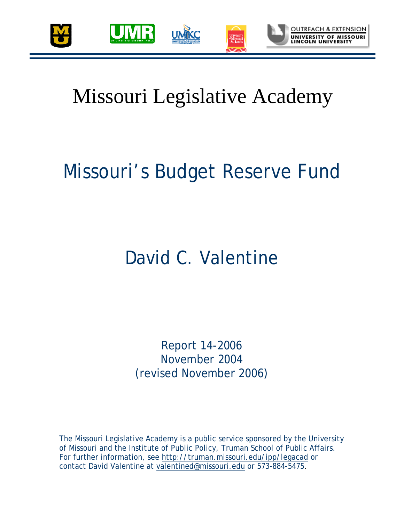

## Missouri Legislative Academy

# Missouri's Budget Reserve Fund

## David C. Valentine

Report 14-2006 November 2004 (revised November 2006)

The Missouri Legislative Academy is a public service sponsored by the University of Missouri and the Institute of Public Policy, Truman School of Public Affairs. For further information, see http://truman.missouri.edu/ipp/legacad or contact David Valentine at valentined@missouri.edu or 573-884-5475.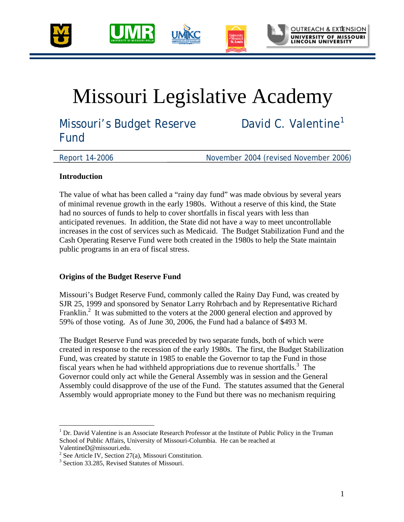



## Missouri Legislative Academy

Missouri's Budget Reserve Fund

David C. Valentine<sup>1</sup>

Report 14-2006 November 2004 (revised November 2006)

#### **Introduction**

The value of what has been called a "rainy day fund" was made obvious by several years of minimal revenue growth in the early 1980s. Without a reserve of this kind, the State had no sources of funds to help to cover shortfalls in fiscal years with less than anticipated revenues. In addition, the State did not have a way to meet uncontrollable increases in the cost of services such as Medicaid. The Budget Stabilization Fund and the Cash Operating Reserve Fund were both created in the 1980s to help the State maintain public programs in an era of fiscal stress.

### **Origins of the Budget Reserve Fund**

Missouri's Budget Reserve Fund, commonly called the Rainy Day Fund, was created by SJR 25, 1999 and sponsored by Senator Larry Rohrbach and by Representative Richard Franklin.<sup>2</sup> It was submitted to the voters at the 2000 general election and approved by 59% of those voting. As of June 30, 2006, the Fund had a balance of \$493 M.

The Budget Reserve Fund was preceded by two separate funds, both of which were created in response to the recession of the early 1980s. The first, the Budget Stabilization Fund, was created by statute in 1985 to enable the Governor to tap the Fund in those fiscal years when he had withheld appropriations due to revenue shortfalls.<sup>3</sup> The Governor could only act while the General Assembly was in session and the General Assembly could disapprove of the use of the Fund. The statutes assumed that the General Assembly would appropriate money to the Fund but there was no mechanism requiring

<sup>1</sup> <sup>1</sup> Dr. David Valentine is an Associate Research Professor at the Institute of Public Policy in the Truman School of Public Affairs, University of Missouri-Columbia. He can be reached at ValentineD@missouri.edu.

<sup>&</sup>lt;sup>2</sup> See Article IV, Section 27(a), Missouri Constitution.

<sup>&</sup>lt;sup>3</sup> Section 33.285, Revised Statutes of Missouri.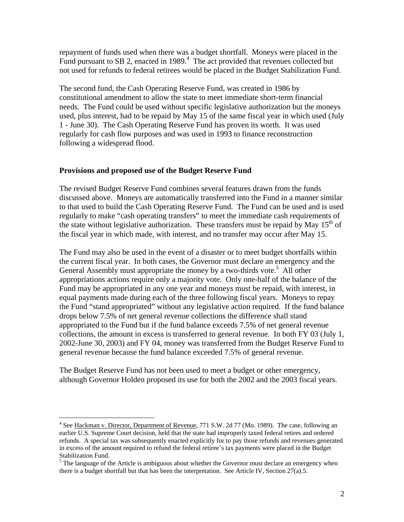repayment of funds used when there was a budget shortfall. Moneys were placed in the Fund pursuant to SB 2, enacted in 1989.<sup>4</sup> The act provided that revenues collected but not used for refunds to federal retirees would be placed in the Budget Stabilization Fund.

The second fund, the Cash Operating Reserve Fund, was created in 1986 by constitutional amendment to allow the state to meet immediate short-term financial needs. The Fund could be used without specific legislative authorization but the moneys used, plus interest, had to be repaid by May 15 of the same fiscal year in which used (July 1 - June 30). The Cash Operating Reserve Fund has proven its worth. It was used regularly for cash flow purposes and was used in 1993 to finance reconstruction following a widespread flood.

#### **Provisions and proposed use of the Budget Reserve Fund**

<u>.</u>

The revised Budget Reserve Fund combines several features drawn from the funds discussed above. Moneys are automatically transferred into the Fund in a manner similar to that used to build the Cash Operating Reserve Fund. The Fund can be used and is used regularly to make "cash operating transfers" to meet the immediate cash requirements of the state without legislative authorization. These transfers must be repaid by May  $15<sup>th</sup>$  of the fiscal year in which made, with interest, and no transfer may occur after May 15.

The Fund may also be used in the event of a disaster or to meet budget shortfalls within the current fiscal year. In both cases, the Governor must declare an emergency and the General Assembly must appropriate the money by a two-thirds vote.<sup>5</sup> All other appropriations actions require only a majority vote. Only one-half of the balance of the Fund may be appropriated in any one year and moneys must be repaid, with interest, in equal payments made during each of the three following fiscal years. Moneys to repay the Fund "stand appropriated" without any legislative action required. If the fund balance drops below 7.5% of net general revenue collections the difference shall stand appropriated to the Fund but if the fund balance exceeds 7.5% of net general revenue collections, the amount in excess is transferred to general revenue. In both FY 03 (July 1, 2002-June 30, 2003) and FY 04, money was transferred from the Budget Reserve Fund to general revenue because the fund balance exceeded 7.5% of general revenue.

The Budget Reserve Fund has not been used to meet a budget or other emergency, although Governor Holden proposed its use for both the 2002 and the 2003 fiscal years.

<sup>&</sup>lt;sup>4</sup> See Hackman v. Director, Department of Revenue, 771 S.W. 2d 77 (Mo. 1989). The case, following an earlier U.S. Supreme Court decision, held that the state had improperly taxed federal retires and ordered refunds. A special tax was subsequently enacted explicitly for to pay those refunds and revenues generated in excess of the amount required to refund the federal retiree's tax payments were placed in the Budget Stabilization Fund.

<sup>&</sup>lt;sup>5</sup> The language of the Article is ambiguous about whether the Governor must declare an emergency when there is a budget shortfall but that has been the interpretation. See Article IV, Section 27(a).5.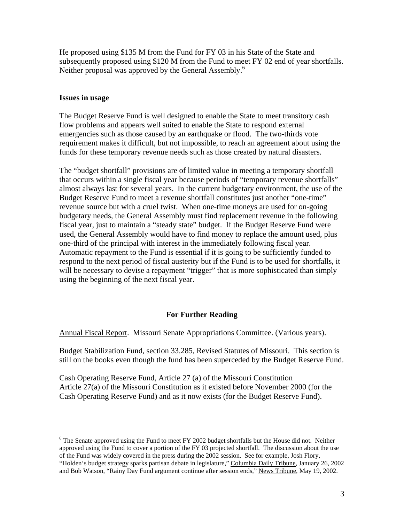He proposed using \$135 M from the Fund for FY 03 in his State of the State and subsequently proposed using \$120 M from the Fund to meet FY 02 end of year shortfalls. Neither proposal was approved by the General Assembly.<sup>6</sup>

#### **Issues in usage**

 $\overline{a}$ 

The Budget Reserve Fund is well designed to enable the State to meet transitory cash flow problems and appears well suited to enable the State to respond external emergencies such as those caused by an earthquake or flood. The two-thirds vote requirement makes it difficult, but not impossible, to reach an agreement about using the funds for these temporary revenue needs such as those created by natural disasters.

The "budget shortfall" provisions are of limited value in meeting a temporary shortfall that occurs within a single fiscal year because periods of "temporary revenue shortfalls" almost always last for several years. In the current budgetary environment, the use of the Budget Reserve Fund to meet a revenue shortfall constitutes just another "one-time" revenue source but with a cruel twist. When one-time moneys are used for on-going budgetary needs, the General Assembly must find replacement revenue in the following fiscal year, just to maintain a "steady state" budget. If the Budget Reserve Fund were used, the General Assembly would have to find money to replace the amount used, plus one-third of the principal with interest in the immediately following fiscal year. Automatic repayment to the Fund is essential if it is going to be sufficiently funded to respond to the next period of fiscal austerity but if the Fund is to be used for shortfalls, it will be necessary to devise a repayment "trigger" that is more sophisticated than simply using the beginning of the next fiscal year.

#### **For Further Reading**

Annual Fiscal Report. Missouri Senate Appropriations Committee. (Various years).

Budget Stabilization Fund, section 33.285, Revised Statutes of Missouri. This section is still on the books even though the fund has been superceded by the Budget Reserve Fund.

Cash Operating Reserve Fund, Article 27 (a) of the Missouri Constitution Article 27(a) of the Missouri Constitution as it existed before November 2000 (for the Cash Operating Reserve Fund) and as it now exists (for the Budget Reserve Fund).

 $6$  The Senate approved using the Fund to meet FY 2002 budget shortfalls but the House did not. Neither approved using the Fund to cover a portion of the FY 03 projected shortfall. The discussion about the use of the Fund was widely covered in the press during the 2002 session. See for example, Josh Flory, "Holden's budget strategy sparks partisan debate in legislature," Columbia Daily Tribune, January 26, 2002 and Bob Watson, "Rainy Day Fund argument continue after session ends," News Tribune, May 19, 2002.